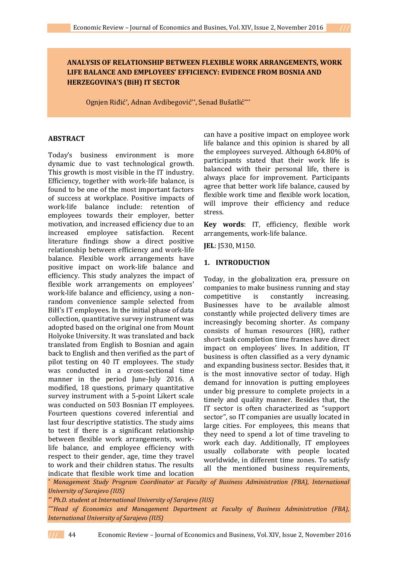# **ANALYSIS OF RELATIONSHIP BETWEEN FLEXIBLE WORK ARRANGEMENTS, WORK LIFE BALANCE AND EMPLOYEES' EFFICIENCY: EVIDENCE FROM BOSNIA AND HERZEGOVINA'S (BiH) IT SECTOR**

Ognjen Riđić\*, Adnan Avdibegović\*\*, Senad Bušatlić\*\*\*

## **ABSTRACT**

Today's business environment is more dynamic due to vast technological growth. This growth is most visible in the IT industry. Efficiency, together with work-life balance, is found to be one of the most important factors of success at workplace. Positive impacts of work-life balance include: retention of employees towards their employer, better motivation, and increased efficiency due to an increased employee satisfaction. Recent literature findings show a direct positive relationship between efficiency and work-life balance. Flexible work arrangements have positive impact on work-life balance and efficiency. This study analyzes the impact of flexible work arrangements on employees' work-life balance and efficiency, using a nonrandom convenience sample selected from BiH's IT employees. In the initial phase of data collection, quantitative survey instrument was adopted based on the original one from Mount Holyoke University. It was translated and back translated from English to Bosnian and again back to English and then verified as the part of pilot testing on 40 IT employees. The study was conducted in a cross-sectional time manner in the period June-July 2016. A modified, 18 questions, primary quantitative survey instrument with a 5-point Likert scale was conducted on 503 Bosnian IT employees. Fourteen questions covered inferential and last four descriptive statistics. The study aims to test if there is a significant relationship between flexible work arrangements, worklife balance, and employee efficiency with respect to their gender, age, time they travel to work and their children status. The results indicate that flexible work time and location

can have a positive impact on employee work life balance and this opinion is shared by all the employees surveyed. Although 64.80% of participants stated that their work life is balanced with their personal life, there is always place for improvement. Participants agree that better work life balance, caused by flexible work time and flexible work location, will improve their efficiency and reduce stress.

**Key words**: IT, efficiency, flexible work arrangements, work-life balance.

**JEL**: J530, M150.

## **1. INTRODUCTION**

Today, in the globalization era, pressure on companies to make business running and stay competitive is constantly increasing. Businesses have to be available almost constantly while projected delivery times are increasingly becoming shorter. As company consists of human resources (HR), rather short-task completion time frames have direct impact on employees' lives. In addition, IT business is often classified as a very dynamic and expanding business sector. Besides that, it is the most innovative sector of today. High demand for innovation is putting employees under big pressure to complete projects in a timely and quality manner. Besides that, the IT sector is often characterized as "support sector", so IT companies are usually located in large cities. For employees, this means that they need to spend a lot of time traveling to work each day. Additionally, IT employees usually collaborate with people located worldwide, in different time zones. To satisfy all the mentioned business requirements,

*\* Management Study Program Coordinator at Faculty of Business Administration (FBA), International University of Sarajevo (IUS)*

*\*\* Ph.D. student at International University of Sarajevo (IUS)*

*\*\*\*Head of Economics and Management Department at Faculty of Business Administration (FBA), International University of Sarajevo (IUS)*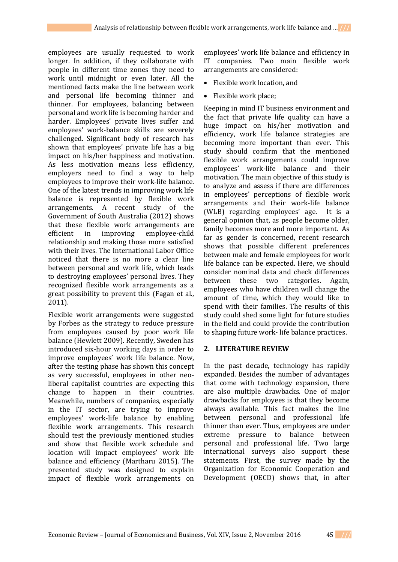employees are usually requested to work longer. In addition, if they collaborate with people in different time zones they need to work until midnight or even later. All the mentioned facts make the line between work and personal life becoming thinner and thinner. For employees, balancing between personal and work life is becoming harder and harder. Employees' private lives suffer and employees' work-balance skills are severely challenged. Significant body of research has shown that employees' private life has a big impact on his/her happiness and motivation. As less motivation means less efficiency, employers need to find a way to help employees to improve their work-life balance. One of the latest trends in improving work life balance is represented by flexible work arrangements. A recent study of the Government of South Australia (2012) shows that these flexible work arrangements are efficient in improving employee-child relationship and making those more satisfied with their lives. The International Labor Office noticed that there is no more a clear line between personal and work life, which leads to destroying employees' personal lives. They recognized flexible work arrangements as a great possibility to prevent this (Fagan et al., 2011).

Flexible work arrangements were suggested by Forbes as the strategy to reduce pressure from employees caused by poor work life balance (Hewlett 2009). Recently, Sweden has introduced six-hour working days in order to improve employees' work life balance. Now, after the testing phase has shown this concept as very successful, employees in other neoliberal capitalist countries are expecting this change to happen in their countries. Meanwhile, numbers of companies, especially in the IT sector, are trying to improve employees' work-life balance by enabling flexible work arrangements. This research should test the previously mentioned studies and show that flexible work schedule and location will impact employees' work life balance and efficiency (Martharu 2015). The presented study was designed to explain impact of flexible work arrangements on

employees' work life balance and efficiency in IT companies. Two main flexible work arrangements are considered:

- Flexible work location, and
- Flexible work place:

Keeping in mind IT business environment and the fact that private life quality can have a huge impact on his/her motivation and efficiency, work life balance strategies are becoming more important than ever. This study should confirm that the mentioned flexible work arrangements could improve employees' work-life balance and their motivation. The main objective of this study is to analyze and assess if there are differences in employees' perceptions of flexible work arrangements and their work-life balance (WLB) regarding employees' age. It is a general opinion that, as people become older, family becomes more and more important. As far as gender is concerned, recent research shows that possible different preferences between male and female employees for work life balance can be expected. Here, we should consider nominal data and check differences between these two categories. Again, employees who have children will change the amount of time, which they would like to spend with their families. The results of this study could shed some light for future studies in the field and could provide the contribution to shaping future work- life balance practices.

## **2. LITERATURE REVIEW**

In the past decade, technology has rapidly expanded. Besides the number of advantages that come with technology expansion, there are also multiple drawbacks. One of major drawbacks for employees is that they become always available. This fact makes the line between personal and professional life thinner than ever. Thus, employees are under extreme pressure to balance between personal and professional life. Two large international surveys also support these statements. First, the survey made by the Organization for Economic Cooperation and Development (OECD) shows that, in after

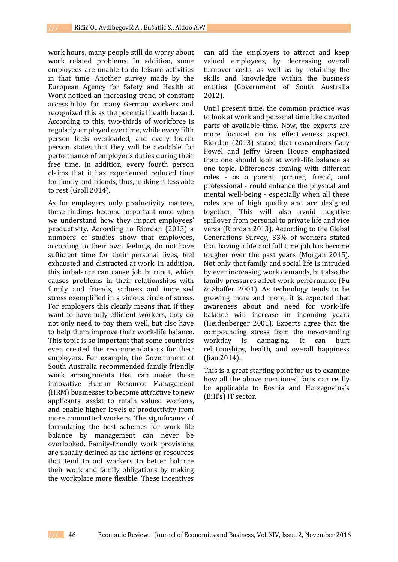work hours, many people still do worry about work related problems. In addition, some employees are unable to do leisure activities in that time. Another survey made by the European Agency for Safety and Health at Work noticed an increasing trend of constant accessibility for many German workers and recognized this as the potential health hazard. According to this, two-thirds of workforce is regularly employed overtime, while every fifth person feels overloaded, and every fourth person states that they will be available for performance of employer's duties during their free time. In addition, every fourth person claims that it has experienced reduced time for family and friends, thus, making it less able to rest (Groll 2014).

As for employers only productivity matters, these findings become important once when we understand how they impact employees' productivity. According to Riordan (2013) a numbers of studies show that employees, according to their own feelings, do not have sufficient time for their personal lives, feel exhausted and distracted at work. In addition, this imbalance can cause job burnout, which causes problems in their relationships with family and friends, sadness and increased stress exemplified in a vicious circle of stress. For employers this clearly means that, if they want to have fully efficient workers, they do not only need to pay them well, but also have to help them improve their work-life balance. This topic is so important that some countries even created the recommendations for their employers. For example, the Government of South Australia recommended family friendly work arrangements that can make these innovative Human Resource Management (HRM) businesses to become attractive to new applicants, assist to retain valued workers, and enable higher levels of productivity from more committed workers. The significance of formulating the best schemes for work life balance by management can never be overlooked. Family-friendly work provisions are usually defined as the actions or resources that tend to aid workers to better balance their work and family obligations by making the workplace more flexible. These incentives

can aid the employers to attract and keep valued employees, by decreasing overall turnover costs, as well as by retaining the skills and knowledge within the business entities (Government of South Australia 2012).

Until present time, the common practice was to look at work and personal time like devoted parts of available time. Now, the experts are more focused on its effectiveness aspect. Riordan (2013) stated that researchers Gary Powel and Jeffry Green House emphasized that: one should look at work-life balance as one topic. Differences coming with different roles - as a parent, partner, friend, and professional - could enhance the physical and mental well-being - especially when all these roles are of high quality and are designed together. This will also avoid negative spillover from personal to private life and vice versa (Riordan 2013). According to the Global Generations Survey, 33% of workers stated that having a life and full time job has become tougher over the past years (Morgan 2015). Not only that family and social life is intruded by ever increasing work demands, but also the family pressures affect work performance (Fu & Shaffer 2001). As technology tends to be growing more and more, it is expected that awareness about and need for work-life balance will increase in incoming years (Heidenberger 2001). Experts agree that the compounding stress from the never-ending workday is damaging. It can hurt relationships, health, and overall happiness (Jian 2014).

This is a great starting point for us to examine how all the above mentioned facts can really be applicable to Bosnia and Herzegovina's (BiH's) IT sector.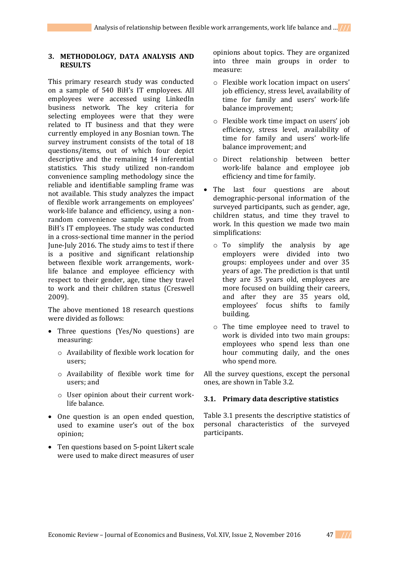#### **3. METHODOLOGY, DATA ANALYSIS AND RESULTS**

This primary research study was conducted on a sample of 540 BiH's IT employees. All employees were accessed using LinkedIn business network. The key criteria for selecting employees were that they were related to IT business and that they were currently employed in any Bosnian town. The survey instrument consists of the total of 18 questions/items, out of which four depict descriptive and the remaining 14 inferential statistics. This study utilized non-random convenience sampling methodology since the reliable and identifiable sampling frame was not available. This study analyzes the impact of flexible work arrangements on employees' work-life balance and efficiency, using a nonrandom convenience sample selected from BiH's IT employees. The study was conducted in a cross-sectional time manner in the period June-July 2016. The study aims to test if there is a positive and significant relationship between flexible work arrangements, worklife balance and employee efficiency with respect to their gender, age, time they travel to work and their children status (Creswell 2009).

The above mentioned 18 research questions were divided as follows:

- Three questions (Yes/No questions) are measuring:
	- o Availability of flexible work location for users;
	- o Availability of flexible work time for users; and
	- o User opinion about their current worklife balance.
- One question is an open ended question, used to examine user's out of the box opinion;
- Ten questions based on 5-point Likert scale were used to make direct measures of user

opinions about topics. They are organized into three main groups in order to measure:

- o Flexible work location impact on users' job efficiency, stress level, availability of time for family and users' work-life balance improvement;
- o Flexible work time impact on users' job efficiency, stress level, availability of time for family and users' work-life balance improvement; and
- o Direct relationship between better work-life balance and employee job efficiency and time for family.
- The last four questions are about demographic-personal information of the surveyed participants, such as gender, age, children status, and time they travel to work. In this question we made two main simplifications:
	- o To simplify the analysis by age employers were divided into two groups: employees under and over 35 years of age. The prediction is that until they are 35 years old, employees are more focused on building their careers, and after they are 35 years old, employees' focus shifts to family building.
	- o The time employee need to travel to work is divided into two main groups: employees who spend less than one hour commuting daily, and the ones who spend more.

All the survey questions, except the personal ones, are shown in Table 3.2.

#### **3.1. Primary data descriptive statistics**

Table 3.1 presents the descriptive statistics of personal characteristics of the surveyed participants.

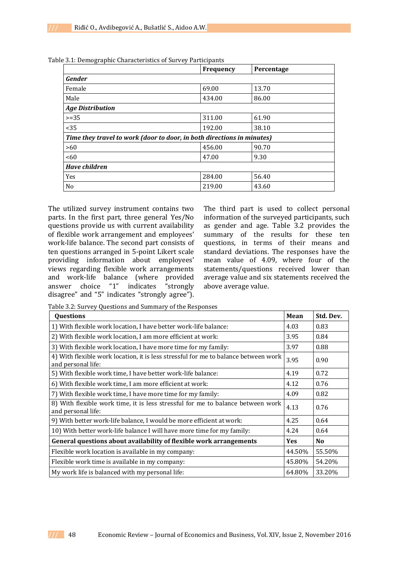|                                                                        | <b>Frequency</b> | Percentage |
|------------------------------------------------------------------------|------------------|------------|
| <b>Gender</b>                                                          |                  |            |
| Female                                                                 | 69.00            | 13.70      |
| Male                                                                   | 434.00           | 86.00      |
| <b>Age Distribution</b>                                                |                  |            |
| $>=35$                                                                 | 311.00           | 61.90      |
| $35$                                                                   | 192.00           | 38.10      |
| Time they travel to work (door to door, in both directions in minutes) |                  |            |
| >60                                                                    | 456.00           | 90.70      |
| <60                                                                    | 47.00            | 9.30       |
| <b>Have children</b>                                                   |                  |            |
| Yes                                                                    | 284.00           | 56.40      |
| N <sub>o</sub>                                                         | 219.00           | 43.60      |

Table 3.1: Demographic Characteristics of Survey Participants

The utilized survey instrument contains two parts. In the first part, three general Yes/No questions provide us with current availability of flexible work arrangement and employees' work-life balance. The second part consists of ten questions arranged in 5-point Likert scale providing information about employees' views regarding flexible work arrangements and work-life balance (where provided answer choice "1" indicates "strongly disagree" and "5" indicates "strongly agree").

The third part is used to collect personal information of the surveyed participants, such as gender and age. Table 3.2 provides the summary of the results for these ten questions, in terms of their means and standard deviations. The responses have the mean value of 4.09, where four of the statements/questions received lower than average value and six statements received the above average value.

Table 3.2: Survey Questions and Summary of the Responses

| <b>Questions</b>                                                                                          | <b>Mean</b> | Std. Dev. |
|-----------------------------------------------------------------------------------------------------------|-------------|-----------|
| 1) With flexible work location, I have better work-life balance:                                          | 4.03        | 0.83      |
| 2) With flexible work location, I am more efficient at work:                                              | 3.95        | 0.84      |
| 3) With flexible work location, I have more time for my family:                                           | 3.97        | 0.88      |
| 4) With flexible work location, it is less stressful for me to balance between work<br>and personal life: | 3.95        | 0.90      |
| 5) With flexible work time, I have better work-life balance:                                              | 4.19        | 0.72      |
| 6) With flexible work time, I am more efficient at work:                                                  | 4.12        | 0.76      |
| 7) With flexible work time, I have more time for my family:                                               | 4.09        | 0.82      |
| 8) With flexible work time, it is less stressful for me to balance between work<br>and personal life:     |             | 0.76      |
| 9) With better work-life balance, I would be more efficient at work:                                      | 4.25        | 0.64      |
| 10) With better work-life balance I will have more time for my family:                                    | 4.24        | 0.64      |
| General questions about availability of flexible work arrangements                                        | <b>Yes</b>  | No        |
| Flexible work location is available in my company:                                                        | 44.50%      | 55.50%    |
| Flexible work time is available in my company:                                                            | 45.80%      | 54.20%    |
| My work life is balanced with my personal life:                                                           | 64.80%      | 33.20%    |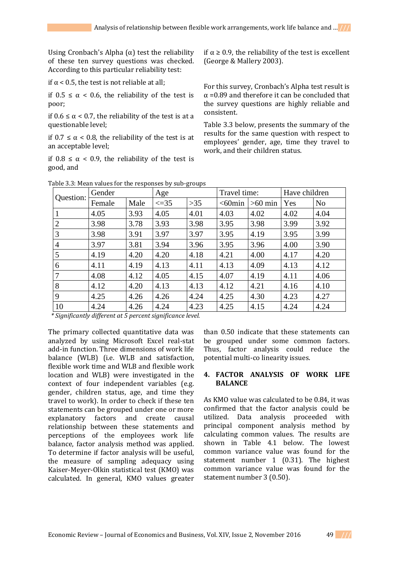Using Cronbach's Alpha  $(\alpha)$  test the reliability of these ten survey questions was checked. According to this particular reliability test:

if  $\alpha$  < 0.5, the test is not reliable at all;

if  $0.5 \le \alpha < 0.6$ , the reliability of the test is poor;

if  $0.6 \le \alpha < 0.7$ , the reliability of the test is at a questionable level;

if  $0.7 \le \alpha < 0.8$ , the reliability of the test is at an acceptable level;

if 0.8 ≤ α < 0.9, the reliability of the test is good, and

if α ≥ 0.9, the reliability of the test is excellent (George & Mallery 2003).

For this survey, Cronbach's Alpha test result is  $\alpha$  =0.89 and therefore it can be concluded that the survey questions are highly reliable and consistent.

Table 3.3 below, presents the summary of the results for the same question with respect to employees' gender, age, time they travel to work, and their children status.

| Question:      | Gender |      | Age         |       | Travel time: |           | Have children |                |
|----------------|--------|------|-------------|-------|--------------|-----------|---------------|----------------|
|                | Female | Male | $\leq$ = 35 | $>35$ | $<$ 60 $min$ | $>60$ min | Yes           | N <sub>o</sub> |
|                | 4.05   | 3.93 | 4.05        | 4.01  | 4.03         | 4.02      | 4.02          | 4.04           |
| 2              | 3.98   | 3.78 | 3.93        | 3.98  | 3.95         | 3.98      | 3.99          | 3.92           |
| 3              | 3.98   | 3.91 | 3.97        | 3.97  | 3.95         | 4.19      | 3.95          | 3.99           |
| $\overline{4}$ | 3.97   | 3.81 | 3.94        | 3.96  | 3.95         | 3.96      | 4.00          | 3.90           |
| 5              | 4.19   | 4.20 | 4.20        | 4.18  | 4.21         | 4.00      | 4.17          | 4.20           |
| 6              | 4.11   | 4.19 | 4.13        | 4.11  | 4.13         | 4.09      | 4.13          | 4.12           |
| 7              | 4.08   | 4.12 | 4.05        | 4.15  | 4.07         | 4.19      | 4.11          | 4.06           |
| 8              | 4.12   | 4.20 | 4.13        | 4.13  | 4.12         | 4.21      | 4.16          | 4.10           |
| 9              | 4.25   | 4.26 | 4.26        | 4.24  | 4.25         | 4.30      | 4.23          | 4.27           |
| 10             | 4.24   | 4.26 | 4.24        | 4.23  | 4.25         | 4.15      | 4.24          | 4.24           |

Table 3.3: Mean values for the responses by sub-groups

 *\* Significantly different at 5 percent significance level.* 

The primary collected quantitative data was analyzed by using Microsoft Excel real-stat add-in function. Three dimensions of work life balance (WLB) (i.e. WLB and satisfaction, flexible work time and WLB and flexible work location and WLB) were investigated in the context of four independent variables (e.g. gender, children status, age, and time they travel to work). In order to check if these ten statements can be grouped under one or more explanatory factors and create causal relationship between these statements and perceptions of the employees work life balance, factor analysis method was applied. To determine if factor analysis will be useful, the measure of sampling adequacy using Kaiser-Meyer-Olkin statistical test (KMO) was calculated. In general, KMO values greater

than 0.50 indicate that these statements can be grouped under some common factors. Thus, factor analysis could reduce the potential multi-co linearity issues.

#### **4. FACTOR ANALYSIS OF WORK LIFE BALANCE**

As KMO value was calculated to be 0.84, it was confirmed that the factor analysis could be utilized. Data analysis proceeded with principal component analysis method by calculating common values. The results are shown in Table 4.1 below. The lowest common variance value was found for the statement number 1 (0.31). The highest common variance value was found for the statement number 3 (0.50).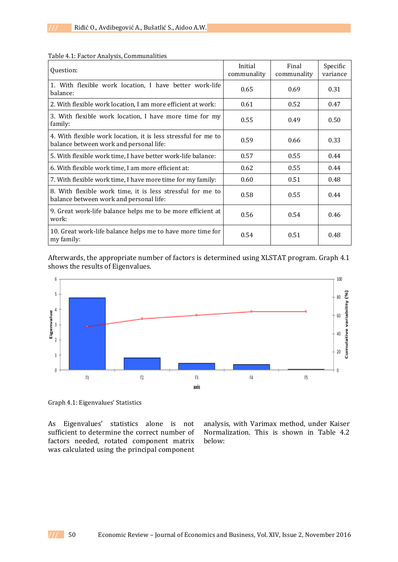| Question:                                                                                                 | Initial<br>communality | Final<br>communality | Specific<br>variance |
|-----------------------------------------------------------------------------------------------------------|------------------------|----------------------|----------------------|
| 1. With flexible work location, I have better work-life<br>balance:                                       | 0.65                   | 0.69                 | 0.31                 |
| 2. With flexible work location, I am more efficient at work:                                              | 0.61                   | 0.52                 | 0.47                 |
| 3. With flexible work location, I have more time for my<br>family:                                        | 0.55                   | 0.49                 | 0.50                 |
| 4. With flexible work location, it is less stressful for me to<br>balance between work and personal life: | 0.59                   | 0.66                 | 0.33                 |
| 5. With flexible work time, I have better work-life balance:                                              | 0.57                   | 0.55                 | 0.44                 |
| 6. With flexible work time, I am more efficient at:                                                       | 0.62                   | 0.55                 | 0.44                 |
| 7. With flexible work time, I have more time for my family:                                               | 0.60                   | 0.51                 | 0.48                 |
| 8. With flexible work time, it is less stressful for me to<br>balance between work and personal life:     | 0.58                   | 0.55                 | 0.44                 |
| 9. Great work-life balance helps me to be more efficient at<br>work:                                      | 0.56                   | 0.54                 | 0.46                 |
| 10. Great work-life balance helps me to have more time for<br>my family:                                  | 0.54                   | 0.51                 | 0.48                 |

Table 4.1: Factor Analysis, Communalities

Afterwards, the appropriate number of factors is determined using XLSTAT program. Graph 4.1 shows the results of Eigenvalues.



Graph 4.1: Eigenvalues' Statistics

As Eigenvalues' statistics alone is not sufficient to determine the correct number of factors needed, rotated component matrix was calculated using the principal component

analysis, with Varimax method, under Kaiser Normalization. This is shown in Table 4.2 below: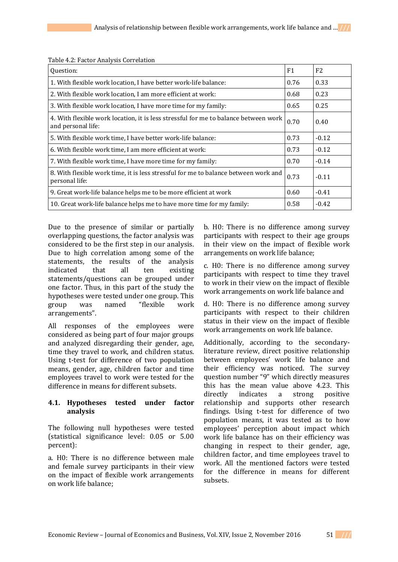| Question:                                                                                                 | F1   | F <sub>2</sub> |
|-----------------------------------------------------------------------------------------------------------|------|----------------|
| 1. With flexible work location, I have better work-life balance:                                          | 0.76 | 0.33           |
| 2. With flexible work location, I am more efficient at work:                                              | 0.68 | 0.23           |
| 3. With flexible work location, I have more time for my family:                                           | 0.65 | 0.25           |
| 4. With flexible work location, it is less stressful for me to balance between work<br>and personal life: | 0.70 | 0.40           |
| 5. With flexible work time, I have better work-life balance:                                              | 0.73 | $-0.12$        |
| 6. With flexible work time, I am more efficient at work:                                                  | 0.73 | $-0.12$        |
| 7. With flexible work time, I have more time for my family:                                               | 0.70 | $-0.14$        |
| 8. With flexible work time, it is less stressful for me to balance between work and<br>personal life:     |      | $-0.11$        |
| 9. Great work-life balance helps me to be more efficient at work                                          | 0.60 | $-0.41$        |
| 10. Great work-life balance helps me to have more time for my family:                                     | 0.58 | $-0.42$        |

Table 4.2: Factor Analysis Correlation

Due to the presence of similar or partially overlapping questions, the factor analysis was considered to be the first step in our analysis. Due to high correlation among some of the statements, the results of the analysis indicated that all ten existing statements/questions can be grouped under one factor. Thus, in this part of the study the hypotheses were tested under one group. This group was named "flexible work arrangements".

All responses of the employees were considered as being part of four major groups and analyzed disregarding their gender, age, time they travel to work, and children status. Using t-test for difference of two population means, gender, age, children factor and time employees travel to work were tested for the difference in means for different subsets.

## **4.1. Hypotheses tested under factor analysis**

The following null hypotheses were tested (statistical significance level: 0.05 or 5.00 percent):

a. H0: There is no difference between male and female survey participants in their view on the impact of flexible work arrangements on work life balance;

b. H0: There is no difference among survey participants with respect to their age groups in their view on the impact of flexible work arrangements on work life balance;

c. H0: There is no difference among survey participants with respect to time they travel to work in their view on the impact of flexible work arrangements on work life balance and

d. H0: There is no difference among survey participants with respect to their children status in their view on the impact of flexible work arrangements on work life balance.

Additionally, according to the secondaryliterature review, direct positive relationship between employees' work life balance and their efficiency was noticed. The survey question number "9" which directly measures this has the mean value above 4.23. This directly indicates a strong positive relationship and supports other research findings. Using t-test for difference of two population means, it was tested as to how employees' perception about impact which work life balance has on their efficiency was changing in respect to their gender, age, children factor, and time employees travel to work. All the mentioned factors were tested for the difference in means for different subsets.

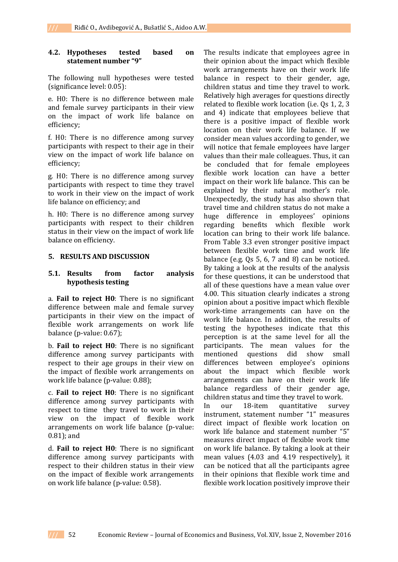#### **4.2. Hypotheses tested based on statement number "9"**

The following null hypotheses were tested (significance level: 0.05):

e. H0: There is no difference between male and female survey participants in their view on the impact of work life balance on efficiency;

f. H0: There is no difference among survey participants with respect to their age in their view on the impact of work life balance on efficiency;

g. H0: There is no difference among survey participants with respect to time they travel to work in their view on the impact of work life balance on efficiency; and

h. H0: There is no difference among survey participants with respect to their children status in their view on the impact of work life balance on efficiency.

## **5. RESULTS AND DISCUSSION**

## **5.1. Results from factor analysis hypothesis testing**

a. **Fail to reject H0**: There is no significant difference between male and female survey participants in their view on the impact of flexible work arrangements on work life balance (p-value: 0.67);

b. **Fail to reject H0**: There is no significant difference among survey participants with respect to their age groups in their view on the impact of flexible work arrangements on work life balance (p-value: 0.88);

c. **Fail to reject H0**: There is no significant difference among survey participants with respect to time they travel to work in their view on the impact of flexible work arrangements on work life balance (p-value: 0.81); and

d. **Fail to reject H0**: There is no significant difference among survey participants with respect to their children status in their view on the impact of flexible work arrangements on work life balance (p-value: 0.58).

The results indicate that employees agree in their opinion about the impact which flexible work arrangements have on their work life balance in respect to their gender, age, children status and time they travel to work. Relatively high averages for questions directly related to flexible work location (i.e. Qs 1, 2, 3 and 4) indicate that employees believe that there is a positive impact of flexible work location on their work life balance. If we consider mean values according to gender, we will notice that female employees have larger values than their male colleagues. Thus, it can be concluded that for female employees flexible work location can have a better impact on their work life balance. This can be explained by their natural mother's role. Unexpectedly, the study has also shown that travel time and children status do not make a huge difference in employees' opinions regarding benefits which flexible work location can bring to their work life balance. From Table 3.3 even stronger positive impact between flexible work time and work life balance (e.g. Qs 5, 6, 7 and 8) can be noticed. By taking a look at the results of the analysis for these questions, it can be understood that all of these questions have a mean value over 4.00. This situation clearly indicates a strong opinion about a positive impact which flexible work-time arrangements can have on the work life balance. In addition, the results of testing the hypotheses indicate that this perception is at the same level for all the participants. The mean values for the mentioned questions did show small differences between employee's opinions about the impact which flexible work arrangements can have on their work life balance regardless of their gender age, children status and time they travel to work. In our 18-item quantitative survey instrument, statement number "1" measures direct impact of flexible work location on work life balance and statement number "5" measures direct impact of flexible work time on work life balance. By taking a look at their mean values (4.03 and 4.19 respectively), it can be noticed that all the participants agree in their opinions that flexible work time and flexible work location positively improve their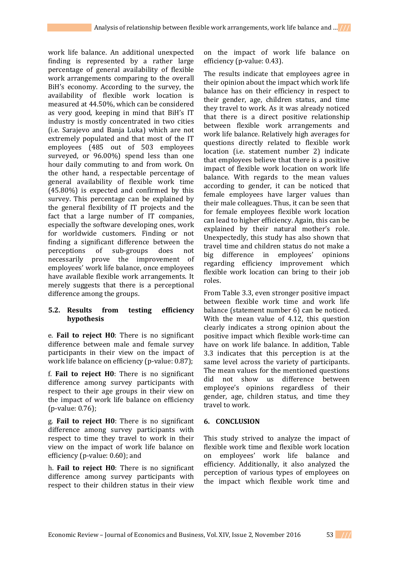work life balance. An additional unexpected finding is represented by a rather large percentage of general availability of flexible work arrangements comparing to the overall BiH's economy. According to the survey, the availability of flexible work location is measured at 44.50%, which can be considered as very good, keeping in mind that BiH's IT industry is mostly concentrated in two cities (i.e. Sarajevo and Banja Luka) which are not extremely populated and that most of the IT employees (485 out of 503 employees surveyed, or 96.00%) spend less than one hour daily commuting to and from work. On the other hand, a respectable percentage of general availability of flexible work time (45.80%) is expected and confirmed by this survey. This percentage can be explained by the general flexibility of IT projects and the fact that a large number of IT companies, especially the software developing ones, work for worldwide customers. Finding or not finding a significant difference between the perceptions of sub-groups does not necessarily prove the improvement of employees' work life balance, once employees have available flexible work arrangements. It merely suggests that there is a perceptional difference among the groups.

## **5.2. Results from testing efficiency hypothesis**

e. **Fail to reject H0**: There is no significant difference between male and female survey participants in their view on the impact of work life balance on efficiency (p-value: 0.87);

f. **Fail to reject H0**: There is no significant difference among survey participants with respect to their age groups in their view on the impact of work life balance on efficiency (p-value: 0.76);

g. **Fail to reject H0**: There is no significant difference among survey participants with respect to time they travel to work in their view on the impact of work life balance on efficiency (p-value: 0.60); and

h. **Fail to reject H0**: There is no significant difference among survey participants with respect to their children status in their view

on the impact of work life balance on efficiency (p-value: 0.43).

The results indicate that employees agree in their opinion about the impact which work life balance has on their efficiency in respect to their gender, age, children status, and time they travel to work. As it was already noticed that there is a direct positive relationship between flexible work arrangements and work life balance. Relatively high averages for questions directly related to flexible work location (i.e. statement number 2) indicate that employees believe that there is a positive impact of flexible work location on work life balance. With regards to the mean values according to gender, it can be noticed that female employees have larger values than their male colleagues. Thus, it can be seen that for female employees flexible work location can lead to higher efficiency. Again, this can be explained by their natural mother's role. Unexpectedly, this study has also shown that travel time and children status do not make a big difference in employees' opinions regarding efficiency improvement which flexible work location can bring to their job roles.

From Table 3.3, even stronger positive impact between flexible work time and work life balance (statement number 6) can be noticed. With the mean value of 4.12, this question clearly indicates a strong opinion about the positive impact which flexible work-time can have on work life balance. In addition, Table 3.3 indicates that this perception is at the same level across the variety of participants. The mean values for the mentioned questions did not show us difference between employee's opinions regardless of their gender, age, children status, and time they travel to work.

## **6. CONCLUSION**

This study strived to analyze the impact of flexible work time and flexible work location on employees' work life balance and efficiency. Additionally, it also analyzed the perception of various types of employees on the impact which flexible work time and

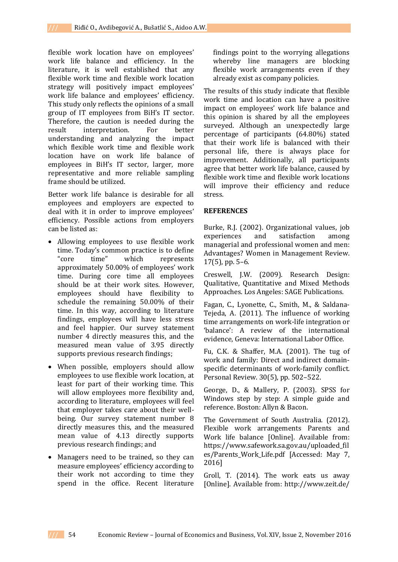flexible work location have on employees' work life balance and efficiency. In the literature, it is well established that any flexible work time and flexible work location strategy will positively impact employees' work life balance and employees' efficiency. This study only reflects the opinions of a small group of IT employees from BiH's IT sector. Therefore, the caution is needed during the result interpretation. For better understanding and analyzing the impact which flexible work time and flexible work location have on work life balance of employees in BiH's IT sector, larger, more representative and more reliable sampling frame should be utilized.

Better work life balance is desirable for all employees and employers are expected to deal with it in order to improve employees' efficiency. Possible actions from employers can be listed as:

- Allowing employees to use flexible work time. Today's common practice is to define "core time" which represents approximately 50.00% of employees' work time. During core time all employees should be at their work sites. However, employees should have flexibility to schedule the remaining 50.00% of their time. In this way, according to literature findings, employees will have less stress and feel happier. Our survey statement number 4 directly measures this, and the measured mean value of 3.95 directly supports previous research findings;
- When possible, employers should allow employees to use flexible work location, at least for part of their working time. This will allow employees more flexibility and, according to literature, employees will feel that employer takes care about their wellbeing. Our survey statement number 8 directly measures this, and the measured mean value of 4.13 directly supports previous research findings; and
- Managers need to be trained, so they can measure employees' efficiency according to their work not according to time they spend in the office. Recent literature

findings point to the worrying allegations whereby line managers are blocking flexible work arrangements even if they already exist as company policies.

The results of this study indicate that flexible work time and location can have a positive impact on employees' work life balance and this opinion is shared by all the employees surveyed. Although an unexpectedly large percentage of participants (64.80%) stated that their work life is balanced with their personal life, there is always place for improvement. Additionally, all participants agree that better work life balance, caused by flexible work time and flexible work locations will improve their efficiency and reduce stress.

#### **REFERENCES**

Burke, R.J. (2002). Organizational values, job experiences and satisfaction among managerial and professional women and men: Advantages? Women in Management Review. 17(5), pp. 5–6.

Creswell, J.W. (2009). Research Design: Qualitative, Quantitative and Mixed Methods Approaches. Los Angeles: SAGE Publications.

Fagan, C., Lyonette, C., Smith, M., & Saldana-Tejeda, A. (2011). The influence of working time arrangements on work-life integration or 'balance': A review of the international evidence, Geneva: International Labor Office.

Fu, C.K. & Shaffer, M.A. (2001). The tug of work and family: Direct and indirect domainspecific determinants of work-family conflict. Personal Review. 30(5), pp. 502–522.

George, D., & Mallery, P. (2003). SPSS for Windows step by step: A simple guide and reference. Boston: Allyn & Bacon.

The Government of South Australia. (2012). Flexible work arrangements Parents and Work life balance [Online]. Available from: https://www.safework.sa.gov.au/uploaded\_fil es/Parents\_Work\_Life.pdf [Accessed: May 7, 2016]

Groll, T. (2014). The work eats us away [Online]. Available from:<http://www.zeit.de/>